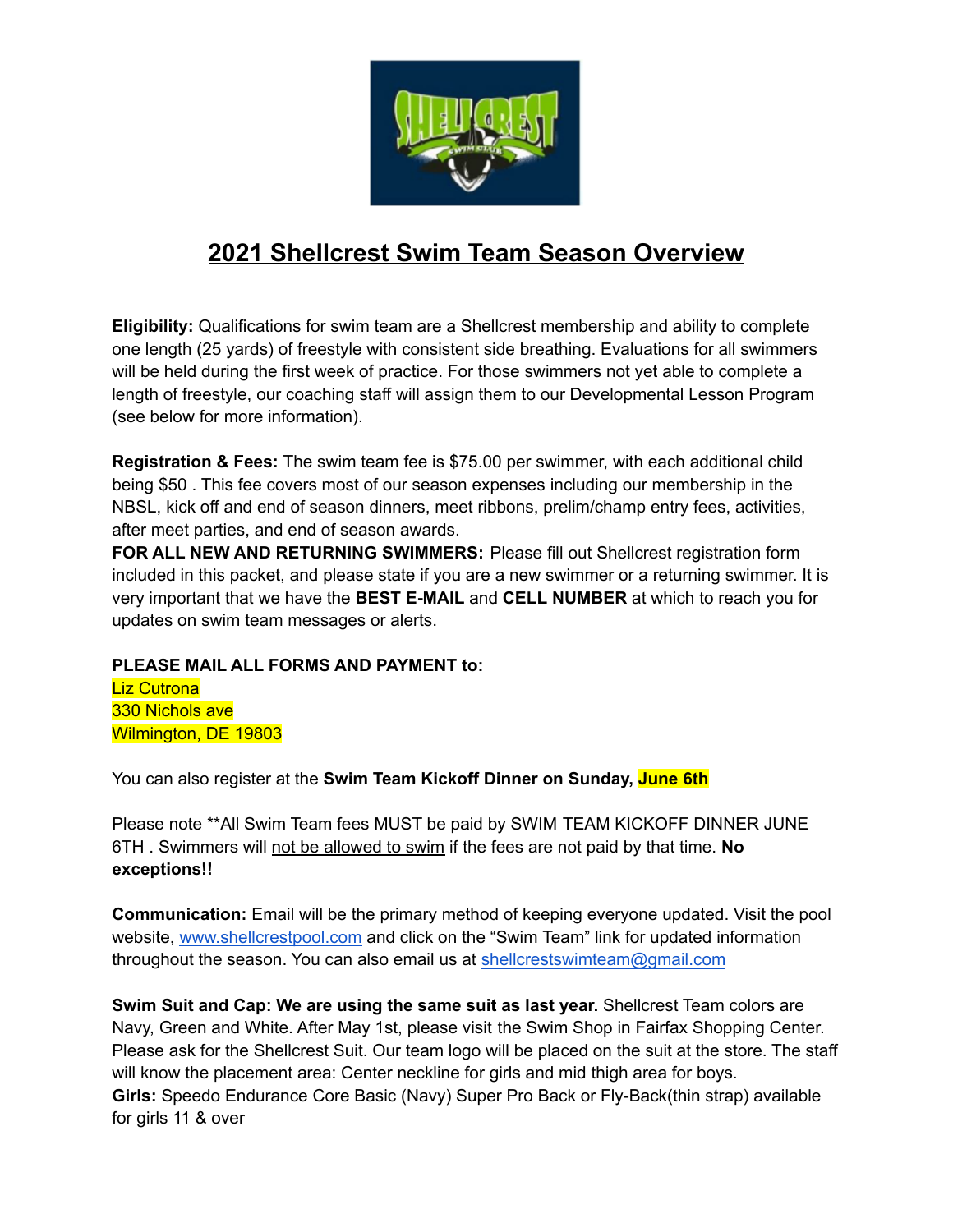

# **2021 Shellcrest Swim Team Season Overview**

**Eligibility:** Qualifications for swim team are a Shellcrest membership and ability to complete one length (25 yards) of freestyle with consistent side breathing. Evaluations for all swimmers will be held during the first week of practice. For those swimmers not yet able to complete a length of freestyle, our coaching staff will assign them to our Developmental Lesson Program (see below for more information).

**Registration & Fees:** The swim team fee is \$75.00 per swimmer, with each additional child being \$50 . This fee covers most of our season expenses including our membership in the NBSL, kick off and end of season dinners, meet ribbons, prelim/champ entry fees, activities, after meet parties, and end of season awards.

**FOR ALL NEW AND RETURNING SWIMMERS:** Please fill out Shellcrest registration form included in this packet, and please state if you are a new swimmer or a returning swimmer. It is very important that we have the **BEST E-MAIL** and **CELL NUMBER** at which to reach you for updates on swim team messages or alerts.

## **PLEASE MAIL ALL FORMS AND PAYMENT to:**

**Liz Cutrona** 330 Nichols ave Wilmington, DE 19803

You can also register at the **Swim Team Kickoff Dinner on Sunday, June 6th**

Please note \*\*All Swim Team fees MUST be paid by SWIM TEAM KICKOFF DINNER JUNE 6TH . Swimmers will not be allowed to swim if the fees are not paid by that time. **No exceptions!!**

**Communication:** Email will be the primary method of keeping everyone updated. Visit the pool website, www.shellcrestpool.com and click on the "Swim Team" link for updated information throughout the season. You can also email us at [shellcrestswimteam@gmail.com](mailto:shellcrestswimteam@gmail.com)

**Swim Suit and Cap: We are using the same suit as last year.** Shellcrest Team colors are Navy, Green and White. After May 1st, please visit the Swim Shop in Fairfax Shopping Center. Please ask for the Shellcrest Suit. Our team logo will be placed on the suit at the store. The staff will know the placement area: Center neckline for girls and mid thigh area for boys. **Girls:** Speedo Endurance Core Basic (Navy) Super Pro Back or Fly-Back(thin strap) available for girls 11 & over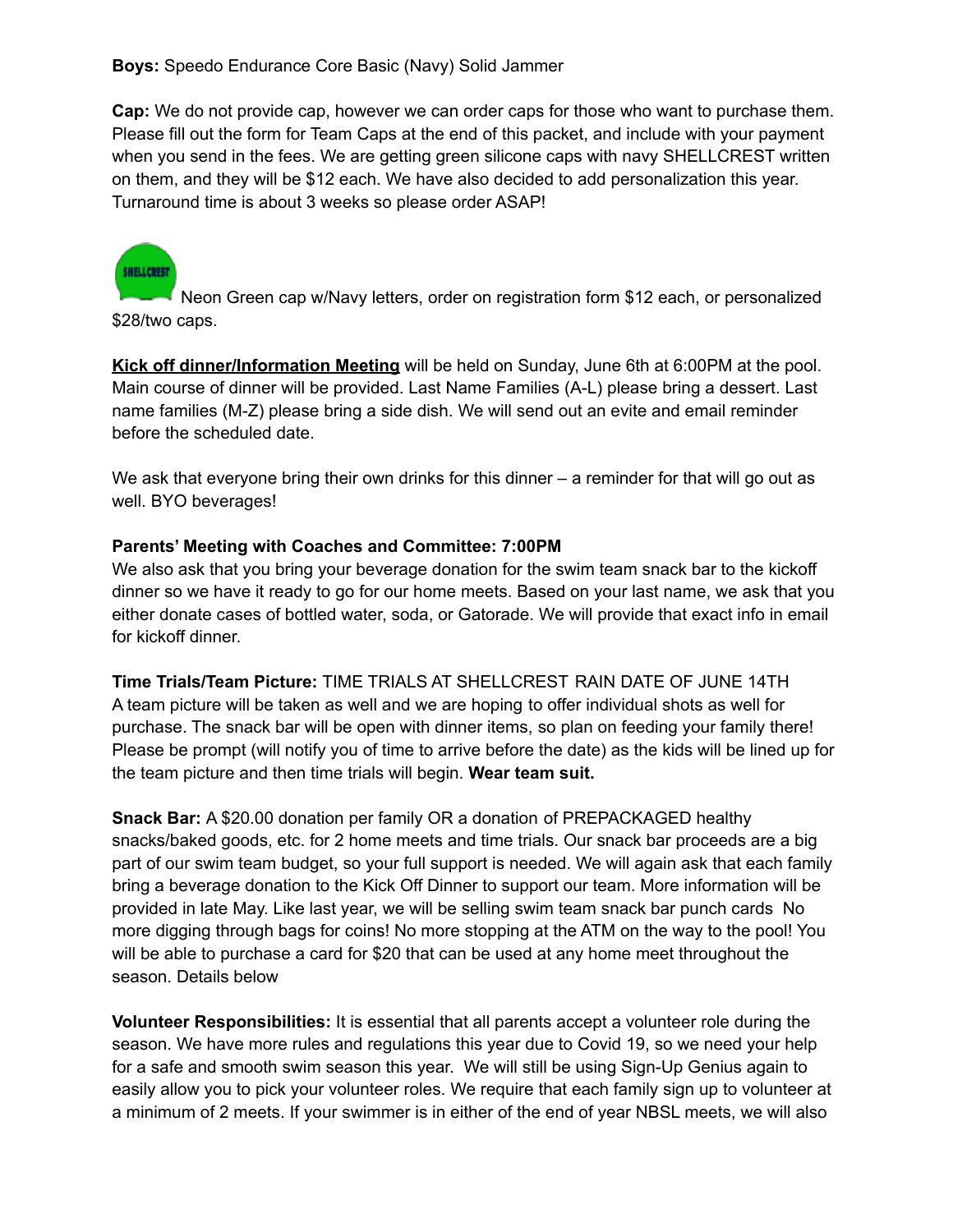**Cap:** We do not provide cap, however we can order caps for those who want to purchase them. Please fill out the form for Team Caps at the end of this packet, and include with your payment when you send in the fees. We are getting green silicone caps with navy SHELLCREST written on them, and they will be \$12 each. We have also decided to add personalization this year. Turnaround time is about 3 weeks so please order ASAP!



Neon Green cap w/Navy letters, order on registration form \$12 each, or personalized \$28/two caps.

**Kick off dinner/Information Meeting** will be held on Sunday, June 6th at 6:00PM at the pool. Main course of dinner will be provided. Last Name Families (A-L) please bring a dessert. Last name families (M-Z) please bring a side dish. We will send out an evite and email reminder before the scheduled date.

We ask that everyone bring their own drinks for this dinner – a reminder for that will go out as well. BYO beverages!

### **Parents' Meeting with Coaches and Committee: 7:00PM**

We also ask that you bring your beverage donation for the swim team snack bar to the kickoff dinner so we have it ready to go for our home meets. Based on your last name, we ask that you either donate cases of bottled water, soda, or Gatorade. We will provide that exact info in email for kickoff dinner.

**Time Trials/Team Picture:** TIME TRIALS AT SHELLCREST RAIN DATE OF JUNE 14TH A team picture will be taken as well and we are hoping to offer individual shots as well for purchase. The snack bar will be open with dinner items, so plan on feeding your family there! Please be prompt (will notify you of time to arrive before the date) as the kids will be lined up for the team picture and then time trials will begin. **Wear team suit.**

**Snack Bar:** A \$20.00 donation per family OR a donation of PREPACKAGED healthy snacks/baked goods, etc. for 2 home meets and time trials. Our snack bar proceeds are a big part of our swim team budget, so your full support is needed. We will again ask that each family bring a beverage donation to the Kick Off Dinner to support our team. More information will be provided in late May. Like last year, we will be selling swim team snack bar punch cards No more digging through bags for coins! No more stopping at the ATM on the way to the pool! You will be able to purchase a card for \$20 that can be used at any home meet throughout the season. Details below

**Volunteer Responsibilities:** It is essential that all parents accept a volunteer role during the season. We have more rules and regulations this year due to Covid 19, so we need your help for a safe and smooth swim season this year. We will still be using Sign-Up Genius again to easily allow you to pick your volunteer roles. We require that each family sign up to volunteer at a minimum of 2 meets. If your swimmer is in either of the end of year NBSL meets, we will also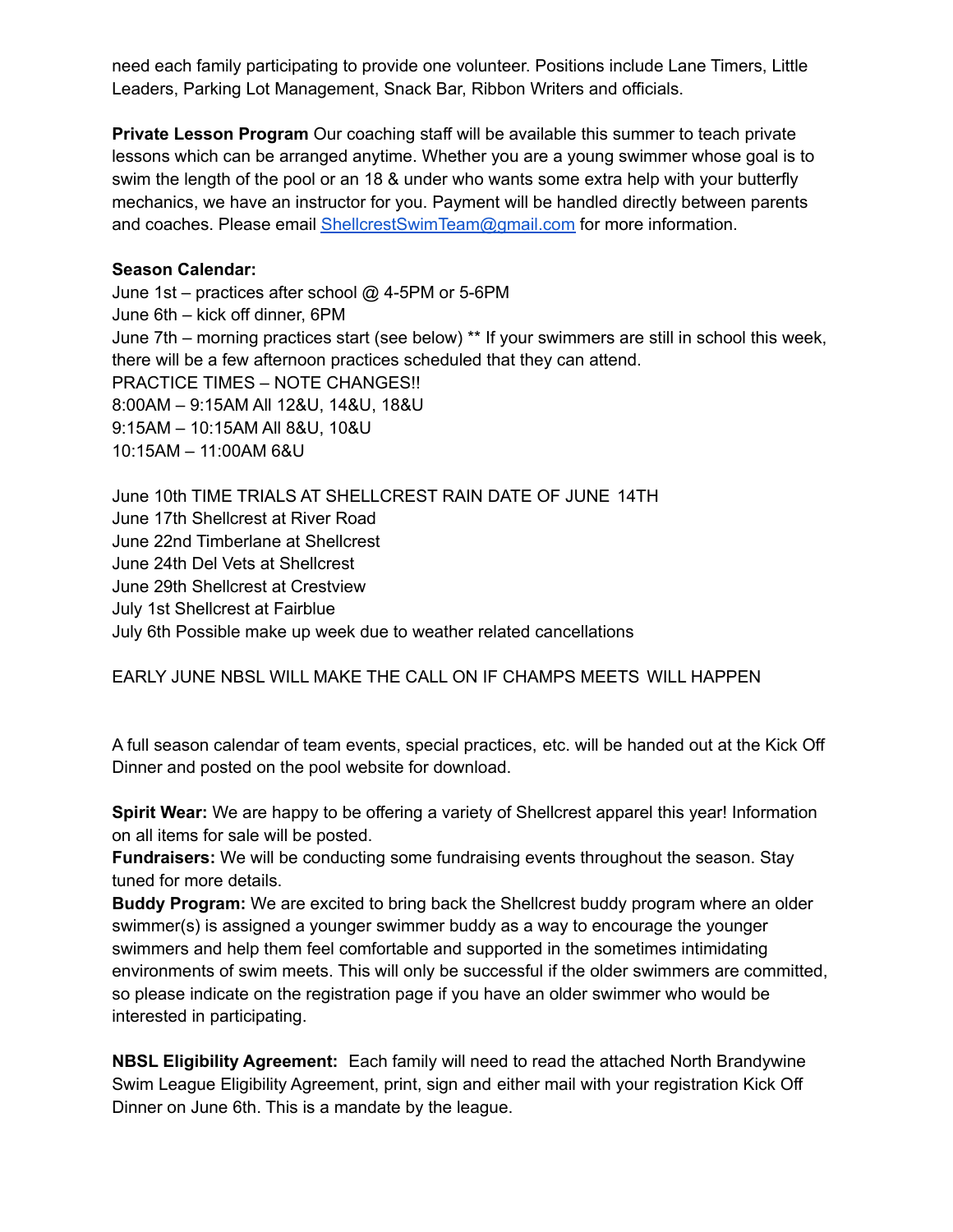need each family participating to provide one volunteer. Positions include Lane Timers, Little Leaders, Parking Lot Management, Snack Bar, Ribbon Writers and officials.

**Private Lesson Program** Our coaching staff will be available this summer to teach private lessons which can be arranged anytime. Whether you are a young swimmer whose goal is to swim the length of the pool or an 18 & under who wants some extra help with your butterfly mechanics, we have an instructor for you. Payment will be handled directly between parents and coaches. Please email ShellcrestSwimTeam@gmail.com for more information.

#### **Season Calendar:**

June 1st – practices after school @ 4-5PM or 5-6PM June 6th – kick off dinner, 6PM June 7th – morning practices start (see below) \*\* If your swimmers are still in school this week, there will be a few afternoon practices scheduled that they can attend. PRACTICE TIMES – NOTE CHANGES!! 8:00AM – 9:15AM All 12&U, 14&U, 18&U 9:15AM – 10:15AM All 8&U, 10&U 10:15AM – 11:00AM 6&U

June 10th TIME TRIALS AT SHELLCREST RAIN DATE OF JUNE 14TH June 17th Shellcrest at River Road June 22nd Timberlane at Shellcrest June 24th Del Vets at Shellcrest June 29th Shellcrest at Crestview July 1st Shellcrest at Fairblue July 6th Possible make up week due to weather related cancellations

EARLY JUNE NBSL WILL MAKE THE CALL ON IF CHAMPS MEETS WILL HAPPEN

A full season calendar of team events, special practices, etc. will be handed out at the Kick Off Dinner and posted on the pool website for download.

**Spirit Wear:** We are happy to be offering a variety of Shellcrest apparel this year! Information on all items for sale will be posted.

**Fundraisers:** We will be conducting some fundraising events throughout the season. Stay tuned for more details.

**Buddy Program:** We are excited to bring back the Shellcrest buddy program where an older swimmer(s) is assigned a younger swimmer buddy as a way to encourage the younger swimmers and help them feel comfortable and supported in the sometimes intimidating environments of swim meets. This will only be successful if the older swimmers are committed, so please indicate on the registration page if you have an older swimmer who would be interested in participating.

**NBSL Eligibility Agreement:** Each family will need to read the attached North Brandywine Swim League Eligibility Agreement, print, sign and either mail with your registration Kick Off Dinner on June 6th. This is a mandate by the league.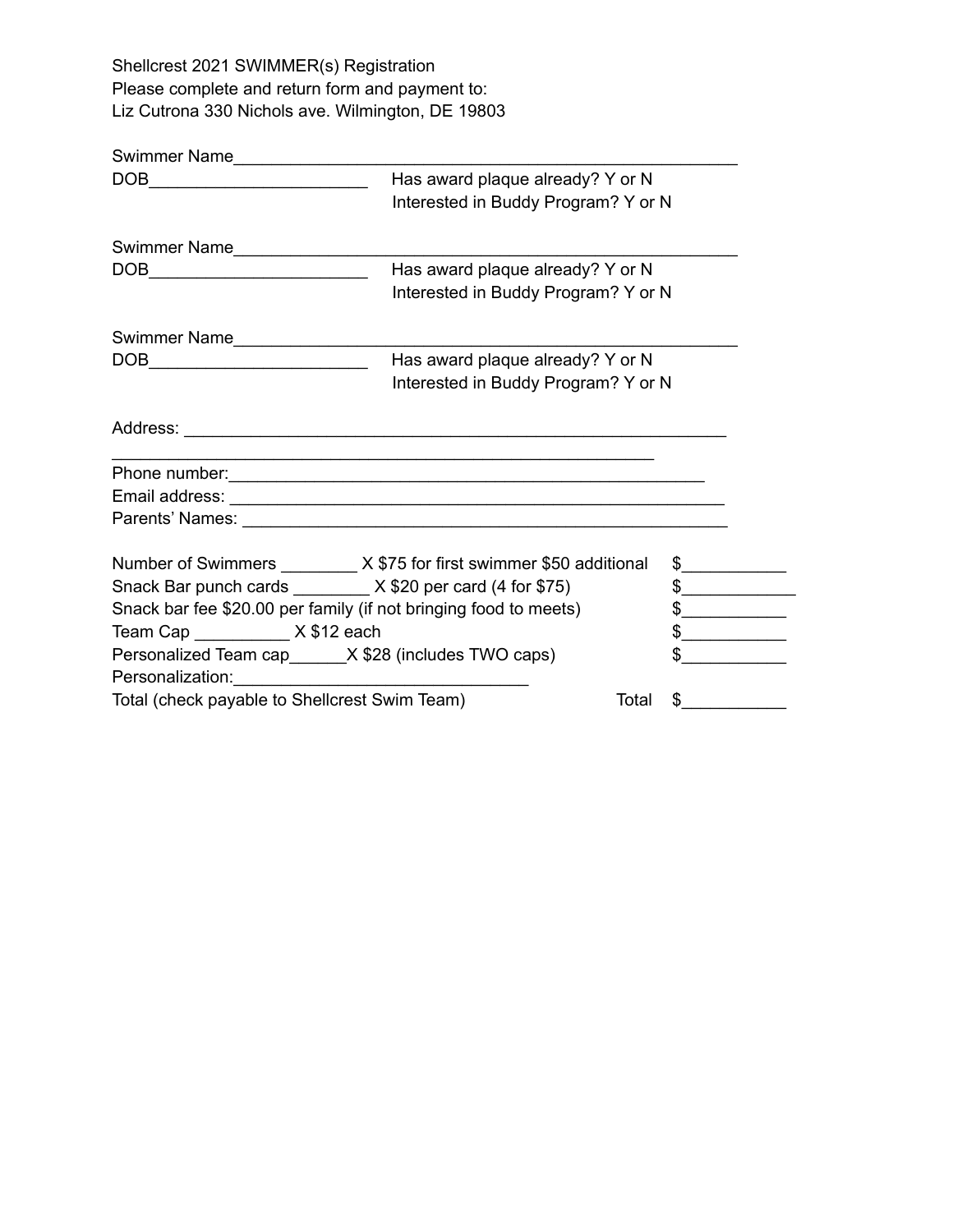Shellcrest 2021 SWIMMER(s) Registration Please complete and return form and payment to: Liz Cutrona 330 Nichols ave. Wilmington, DE 19803

| Swimmer Name__________________                                        |                                     |               |               |
|-----------------------------------------------------------------------|-------------------------------------|---------------|---------------|
|                                                                       | Has award plaque already? Y or N    |               |               |
|                                                                       | Interested in Buddy Program? Y or N |               |               |
| Swimmer Name_________________                                         |                                     |               |               |
| DOB________________________________                                   | Has award plaque already? Y or N    |               |               |
|                                                                       | Interested in Buddy Program? Y or N |               |               |
| Swimmer Name <b>__________________</b>                                |                                     |               |               |
|                                                                       | Has award plaque already? Y or N    |               |               |
|                                                                       | Interested in Buddy Program? Y or N |               |               |
|                                                                       |                                     |               |               |
|                                                                       |                                     |               |               |
|                                                                       |                                     |               |               |
|                                                                       |                                     |               |               |
| Number of Swimmers _________ X \$75 for first swimmer \$50 additional |                                     |               | $\frac{1}{2}$ |
| Snack Bar punch cards ________ X \$20 per card (4 for \$75)           |                                     |               | $\frac{1}{2}$ |
| Snack bar fee \$20.00 per family (if not bringing food to meets)      |                                     | $\frac{1}{2}$ |               |
| Team Cap ____________ X \$12 each                                     |                                     | $\frac{1}{2}$ |               |
| Personalized Team cap______X \$28 (includes TWO caps)                 |                                     | $\frac{1}{2}$ |               |
| Total (check payable to Shellcrest Swim Team)                         |                                     | Total         | $\frac{1}{2}$ |
|                                                                       |                                     |               |               |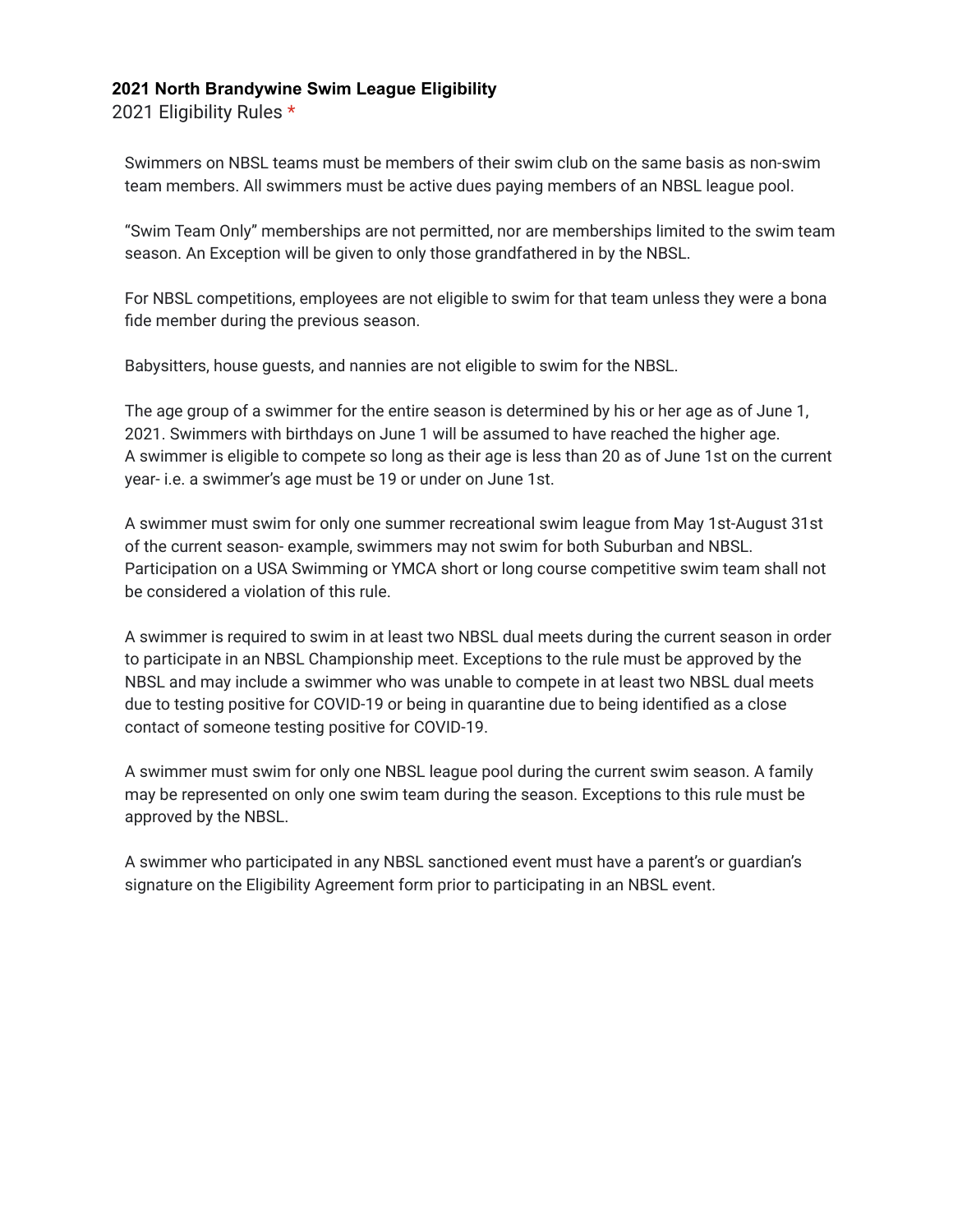#### **2021 North Brandywine Swim League Eligibility**

2021 Eligibility Rules \*

Swimmers on NBSL teams must be members of their swim club on the same basis as non-swim team members. All swimmers must be active dues paying members of an NBSL league pool.

"Swim Team Only" memberships are not permitted, nor are memberships limited to the swim team season. An Exception will be given to only those grandfathered in by the NBSL.

For NBSL competitions, employees are not eligible to swim for that team unless they were a bona fide member during the previous season.

Babysitters, house guests, and nannies are not eligible to swim for the NBSL.

The age group of a swimmer for the entire season is determined by his or her age as of June 1, 2021. Swimmers with birthdays on June 1 will be assumed to have reached the higher age. A swimmer is eligible to compete so long as their age is less than 20 as of June 1st on the current year- i.e. a swimmer's age must be 19 or under on June 1st.

A swimmer must swim for only one summer recreational swim league from May 1st-August 31st of the current season- example, swimmers may not swim for both Suburban and NBSL. Participation on a USA Swimming or YMCA short or long course competitive swim team shall not be considered a violation of this rule.

A swimmer is required to swim in at least two NBSL dual meets during the current season in order to participate in an NBSL Championship meet. Exceptions to the rule must be approved by the NBSL and may include a swimmer who was unable to compete in at least two NBSL dual meets due to testing positive for COVID-19 or being in quarantine due to being identified as a close contact of someone testing positive for COVID-19.

A swimmer must swim for only one NBSL league pool during the current swim season. A family may be represented on only one swim team during the season. Exceptions to this rule must be approved by the NBSL.

A swimmer who participated in any NBSL sanctioned event must have a parent's or guardian's signature on the Eligibility Agreement form prior to participating in an NBSL event.